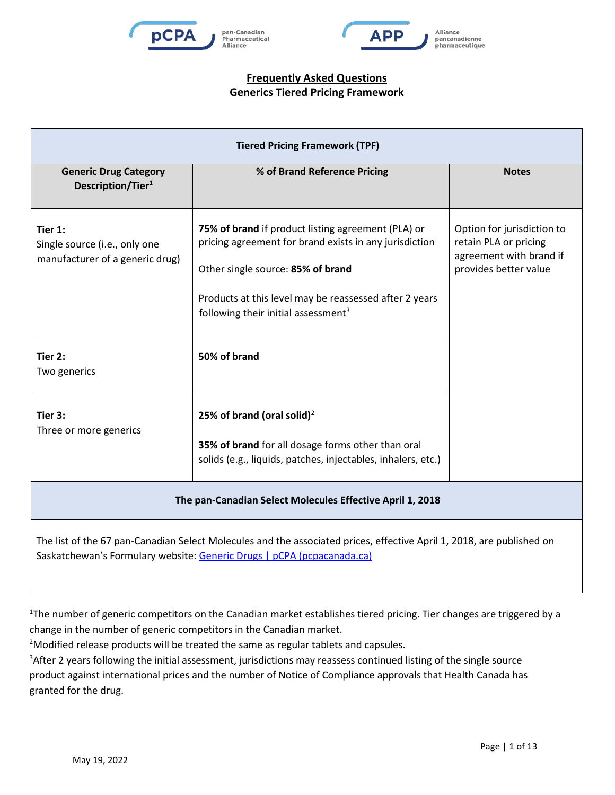





| <b>Tiered Pricing Framework (TPF)</b>                                                                                                                                                           |                                                                                                                                                                                                                                                                |                                                                                                         |  |
|-------------------------------------------------------------------------------------------------------------------------------------------------------------------------------------------------|----------------------------------------------------------------------------------------------------------------------------------------------------------------------------------------------------------------------------------------------------------------|---------------------------------------------------------------------------------------------------------|--|
| <b>Generic Drug Category</b><br>Description/Tier <sup>1</sup>                                                                                                                                   | % of Brand Reference Pricing                                                                                                                                                                                                                                   | <b>Notes</b>                                                                                            |  |
| Tier 1:<br>Single source (i.e., only one<br>manufacturer of a generic drug)                                                                                                                     | 75% of brand if product listing agreement (PLA) or<br>pricing agreement for brand exists in any jurisdiction<br>Other single source: 85% of brand<br>Products at this level may be reassessed after 2 years<br>following their initial assessment <sup>3</sup> | Option for jurisdiction to<br>retain PLA or pricing<br>agreement with brand if<br>provides better value |  |
| Tier 2:<br>Two generics                                                                                                                                                                         | 50% of brand                                                                                                                                                                                                                                                   |                                                                                                         |  |
| Tier 3:<br>Three or more generics                                                                                                                                                               | 25% of brand (oral solid) <sup>2</sup><br>35% of brand for all dosage forms other than oral<br>solids (e.g., liquids, patches, injectables, inhalers, etc.)                                                                                                    |                                                                                                         |  |
| The pan-Canadian Select Molecules Effective April 1, 2018                                                                                                                                       |                                                                                                                                                                                                                                                                |                                                                                                         |  |
| The list of the 67 pan-Canadian Select Molecules and the associated prices, effective April 1, 2018, are published on<br>Saskatchewan's Formulary website: Generic Drugs   pCPA (pcpacanada.ca) |                                                                                                                                                                                                                                                                |                                                                                                         |  |

<sup>1</sup>The number of generic competitors on the Canadian market establishes tiered pricing. Tier changes are triggered by a change in the number of generic competitors in the Canadian market.

<sup>2</sup>Modified release products will be treated the same as regular tablets and capsules.

<sup>3</sup>After 2 years following the initial assessment, jurisdictions may reassess continued listing of the single source product against international prices and the number of Notice of Compliance approvals that Health Canada has granted for the drug.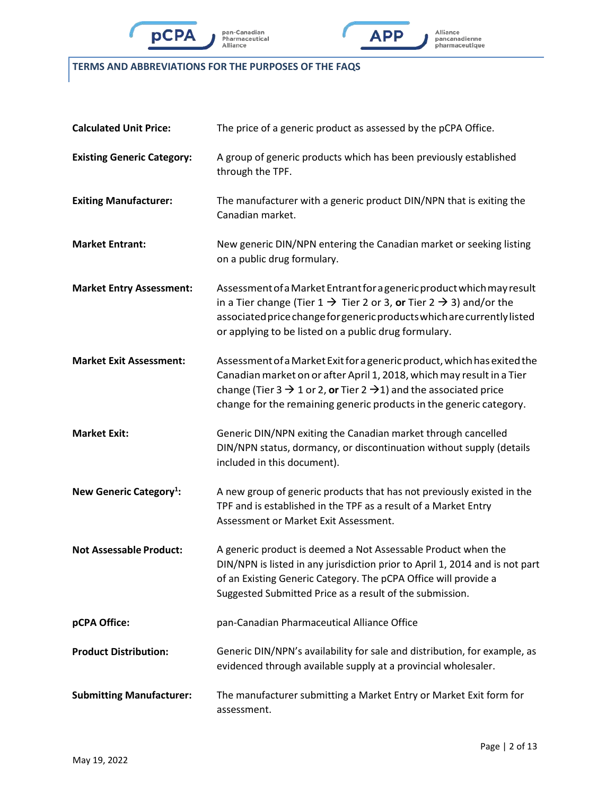





## **TERMS AND ABBREVIATIONS FOR THE PURPOSES OF THE FAQS**

| <b>Calculated Unit Price:</b>       | The price of a generic product as assessed by the pCPA Office.                                                                                                                                                                                                                                                     |  |
|-------------------------------------|--------------------------------------------------------------------------------------------------------------------------------------------------------------------------------------------------------------------------------------------------------------------------------------------------------------------|--|
| <b>Existing Generic Category:</b>   | A group of generic products which has been previously established<br>through the TPF.                                                                                                                                                                                                                              |  |
| <b>Exiting Manufacturer:</b>        | The manufacturer with a generic product DIN/NPN that is exiting the<br>Canadian market.                                                                                                                                                                                                                            |  |
| <b>Market Entrant:</b>              | New generic DIN/NPN entering the Canadian market or seeking listing<br>on a public drug formulary.                                                                                                                                                                                                                 |  |
| <b>Market Entry Assessment:</b>     | Assessment of a Market Entrant for a generic product which may result<br>in a Tier change (Tier $1 \rightarrow$ Tier 2 or 3, or Tier 2 $\rightarrow$ 3) and/or the<br>associated price change for generic products which are currently listed<br>or applying to be listed on a public drug formulary.              |  |
| <b>Market Exit Assessment:</b>      | Assessment of a Market Exit for a generic product, which has exited the<br>Canadian market on or after April 1, 2018, which may result in a Tier<br>change (Tier 3 $\rightarrow$ 1 or 2, or Tier 2 $\rightarrow$ 1) and the associated price<br>change for the remaining generic products in the generic category. |  |
| <b>Market Exit:</b>                 | Generic DIN/NPN exiting the Canadian market through cancelled<br>DIN/NPN status, dormancy, or discontinuation without supply (details<br>included in this document).                                                                                                                                               |  |
| New Generic Category <sup>1</sup> : | A new group of generic products that has not previously existed in the<br>TPF and is established in the TPF as a result of a Market Entry<br>Assessment or Market Exit Assessment.                                                                                                                                 |  |
| <b>Not Assessable Product:</b>      | A generic product is deemed a Not Assessable Product when the<br>DIN/NPN is listed in any jurisdiction prior to April 1, 2014 and is not part<br>of an Existing Generic Category. The pCPA Office will provide a<br>Suggested Submitted Price as a result of the submission.                                       |  |
| pCPA Office:                        | pan-Canadian Pharmaceutical Alliance Office                                                                                                                                                                                                                                                                        |  |
| <b>Product Distribution:</b>        | Generic DIN/NPN's availability for sale and distribution, for example, as<br>evidenced through available supply at a provincial wholesaler.                                                                                                                                                                        |  |
| <b>Submitting Manufacturer:</b>     | The manufacturer submitting a Market Entry or Market Exit form for<br>assessment.                                                                                                                                                                                                                                  |  |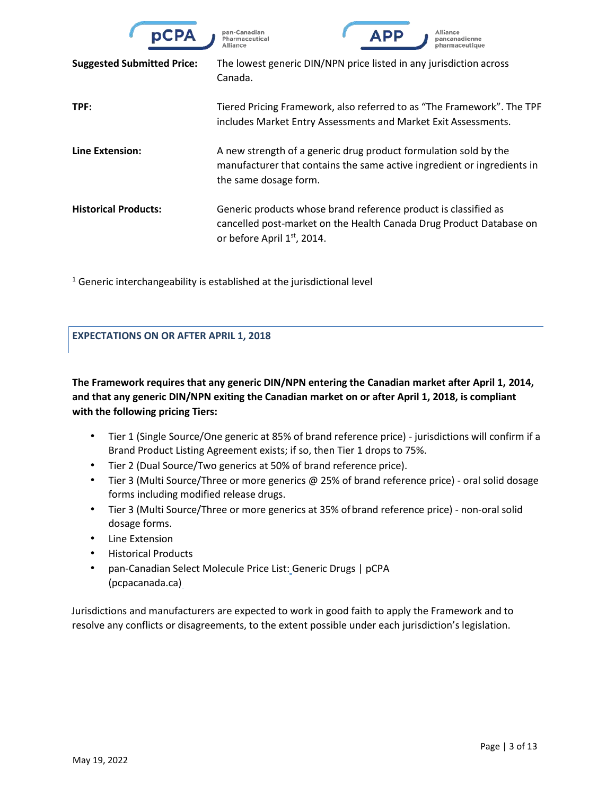

pan-Canadian Pharmaceutical



| <b>Suggested Submitted Price:</b> | The lowest generic DIN/NPN price listed in any jurisdiction across<br>Canada.                                                                                        |
|-----------------------------------|----------------------------------------------------------------------------------------------------------------------------------------------------------------------|
| TPF:                              | Tiered Pricing Framework, also referred to as "The Framework". The TPF<br>includes Market Entry Assessments and Market Exit Assessments.                             |
| Line Extension:                   | A new strength of a generic drug product formulation sold by the<br>manufacturer that contains the same active ingredient or ingredients in<br>the same dosage form. |
| <b>Historical Products:</b>       | Generic products whose brand reference product is classified as<br>cancelled post-market on the Health Canada Drug Product Database on<br>or before April 1st, 2014. |

 $1$  Generic interchangeability is established at the jurisdictional level

### **EXPECTATIONS ON OR AFTER APRIL 1, 2018**

**The Framework requires that any generic DIN/NPN entering the Canadian market after April 1, 2014, and that any generic DIN/NPN exiting the Canadian market on or after April 1, 2018, is compliant with the following pricing Tiers:**

- Tier 1 (Single Source/One generic at 85% of brand reference price) jurisdictions will confirm if a Brand Product Listing Agreement exists; if so, then Tier 1 drops to 75%.
- Tier 2 (Dual Source/Two generics at 50% of brand reference price).
- Tier 3 (Multi Source/Three or more generics @ 25% of brand reference price) oral solid dosage forms including modified release drugs.
- Tier 3 (Multi Source/Three or more generics at 35% ofbrand reference price) non-oral solid dosage forms.
- Line Extension
- Historical Products
- pan-Canadian Select Molecule Price List: [Generic Drugs | pCPA](https://www.pcpacanada.ca/generic-drug-framework)  [\(pcpacanada.ca\)](https://www.pcpacanada.ca/generic-drug-framework)

Jurisdictions and manufacturers are expected to work in good faith to apply the Framework and to resolve any conflicts or disagreements, to the extent possible under each jurisdiction's legislation.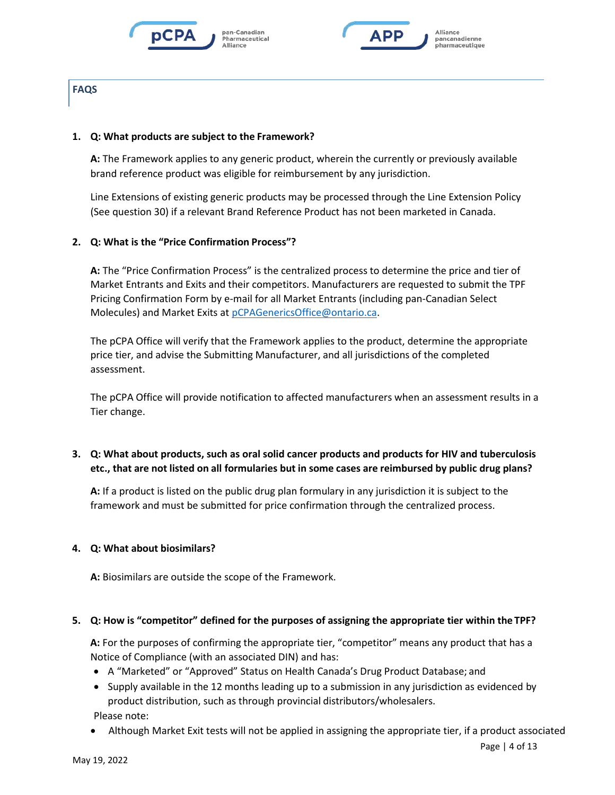





### **1. Q: What products are subject to the Framework?**

**A:** The Framework applies to any generic product, wherein the currently or previously available brand reference product was eligible for reimbursement by any jurisdiction.

Line Extensions of existing generic products may be processed through the Line Extension Policy (See question 30) if a relevant Brand Reference Product has not been marketed in Canada.

### **2. Q: What is the "Price Confirmation Process"?**

**A:** The "Price Confirmation Process" is the centralized process to determine the price and tier of Market Entrants and Exits and their competitors. Manufacturers are requested to submit the TPF Pricing Confirmation Form by e-mail for all Market Entrants (including pan-Canadian Select Molecules) and Market Exits at [pCPAGenericsOffice@ontario.ca.](mailto:PCPAGenericsOffice@ontario.ca)

The pCPA Office will verify that the Framework applies to the product, determine the appropriate price tier, and advise the Submitting Manufacturer, and all jurisdictions of the completed assessment.

The pCPA Office will provide notification to affected manufacturers when an assessment results in a Tier change.

## **3. Q: What about products, such as oral solid cancer products and products for HIV and tuberculosis etc., that are not listed on all formularies but in some cases are reimbursed by public drug plans?**

**A:** If a product is listed on the public drug plan formulary in any jurisdiction it is subject to the framework and must be submitted for price confirmation through the centralized process.

#### **4. Q: What about biosimilars?**

**A:** Biosimilars are outside the scope of the Framework.

#### **5. Q: How is "competitor" defined for the purposes of assigning the appropriate tier within the TPF?**

**A:** For the purposes of confirming the appropriate tier, "competitor" means any product that has a Notice of Compliance (with an associated DIN) and has:

- A "Marketed" or "Approved" Status on Health Canada's Drug Product Database; and
- Supply available in the 12 months leading up to a submission in any jurisdiction as evidenced by product distribution, such as through provincial distributors/wholesalers. Please note:
- Although Market Exit tests will not be applied in assigning the appropriate tier, if a product associated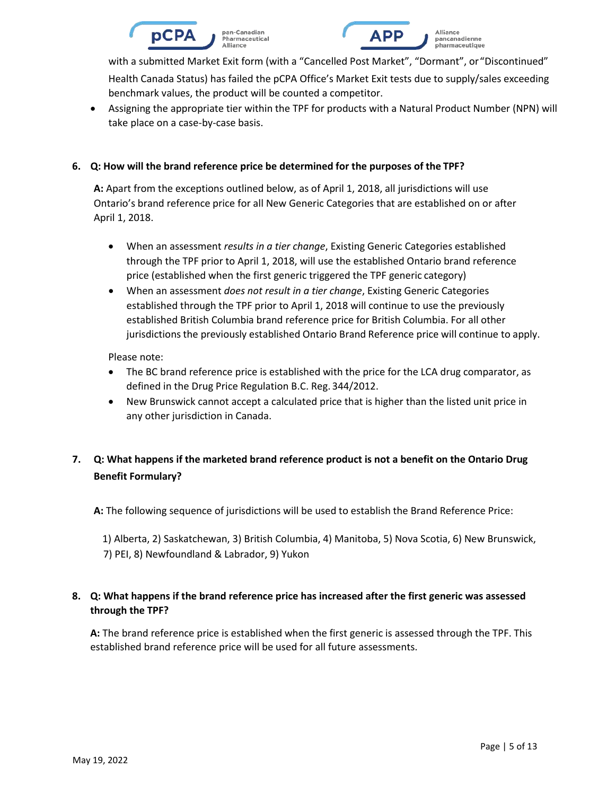



• Assigning the appropriate tier within the TPF for products with a Natural Product Number (NPN) will take place on a case-by-case basis.

### **6. Q: How will the brand reference price be determined for the purposes of the TPF?**

**A:** Apart from the exceptions outlined below, as of April 1, 2018, all jurisdictions will use Ontario's brand reference price for all New Generic Categories that are established on or after April 1, 2018.

- When an assessment *results in a tier change*, Existing Generic Categories established through the TPF prior to April 1, 2018, will use the established Ontario brand reference price (established when the first generic triggered the TPF generic category)
- When an assessment *does not result in a tier change*, Existing Generic Categories established through the TPF prior to April 1, 2018 will continue to use the previously established British Columbia brand reference price for British Columbia. For all other jurisdictions the previously established Ontario Brand Reference price will continue to apply.

Please note:

- The BC brand reference price is established with the price for the LCA drug comparator, as defined in the Drug Price Regulation B.C. Reg. 344/2012.
- New Brunswick cannot accept a calculated price that is higher than the listed unit price in any other jurisdiction in Canada.

# **7. Q: What happens if the marketed brand reference product is not a benefit on the Ontario Drug Benefit Formulary?**

**A:** The following sequence of jurisdictions will be used to establish the Brand Reference Price:

1) Alberta, 2) Saskatchewan, 3) British Columbia, 4) Manitoba, 5) Nova Scotia, 6) New Brunswick, 7) PEI, 8) Newfoundland & Labrador, 9) Yukon

# **8. Q: What happens if the brand reference price has increased after the first generic was assessed through the TPF?**

**A:** The brand reference price is established when the first generic is assessed through the TPF. This established brand reference price will be used for all future assessments.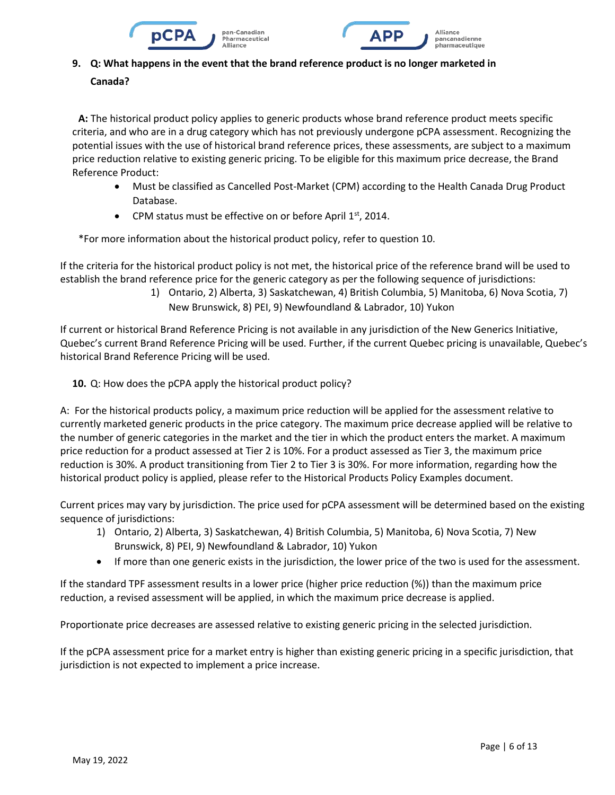



# **9. Q: What happens in the event that the brand reference product is no longer marketed in Canada?**

**A:** The historical product policy applies to generic products whose brand reference product meets specific criteria, and who are in a drug category which has not previously undergone pCPA assessment. Recognizing the potential issues with the use of historical brand reference prices, these assessments, are subject to a maximum price reduction relative to existing generic pricing. To be eligible for this maximum price decrease, the Brand Reference Product:

- Must be classified as Cancelled Post-Market (CPM) according to the Health Canada Drug Product Database.
- CPM status must be effective on or before April  $1<sup>st</sup>$ , 2014.

\*For more information about the historical product policy, refer to question 10.

If the criteria for the historical product policy is not met, the historical price of the reference brand will be used to establish the brand reference price for the generic category as per the following sequence of jurisdictions:

> 1) Ontario, 2) Alberta, 3) Saskatchewan, 4) British Columbia, 5) Manitoba, 6) Nova Scotia, 7) New Brunswick, 8) PEI, 9) Newfoundland & Labrador, 10) Yukon

If current or historical Brand Reference Pricing is not available in any jurisdiction of the New Generics Initiative, Quebec's current Brand Reference Pricing will be used. Further, if the current Quebec pricing is unavailable, Quebec's historical Brand Reference Pricing will be used.

**10.** Q: How does the pCPA apply the historical product policy?

A: For the historical products policy, a maximum price reduction will be applied for the assessment relative to currently marketed generic products in the price category. The maximum price decrease applied will be relative to the number of generic categories in the market and the tier in which the product enters the market. A maximum price reduction for a product assessed at Tier 2 is 10%. For a product assessed as Tier 3, the maximum price reduction is 30%. A product transitioning from Tier 2 to Tier 3 is 30%. For more information, regarding how the historical product policy is applied, please refer to the Historical Products Policy Examples document.

Current prices may vary by jurisdiction. The price used for pCPA assessment will be determined based on the existing sequence of jurisdictions:

- 1) Ontario, 2) Alberta, 3) Saskatchewan, 4) British Columbia, 5) Manitoba, 6) Nova Scotia, 7) New Brunswick, 8) PEI, 9) Newfoundland & Labrador, 10) Yukon
- If more than one generic exists in the jurisdiction, the lower price of the two is used for the assessment.

If the standard TPF assessment results in a lower price (higher price reduction (%)) than the maximum price reduction, a revised assessment will be applied, in which the maximum price decrease is applied.

Proportionate price decreases are assessed relative to existing generic pricing in the selected jurisdiction.

If the pCPA assessment price for a market entry is higher than existing generic pricing in a specific jurisdiction, that jurisdiction is not expected to implement a price increase.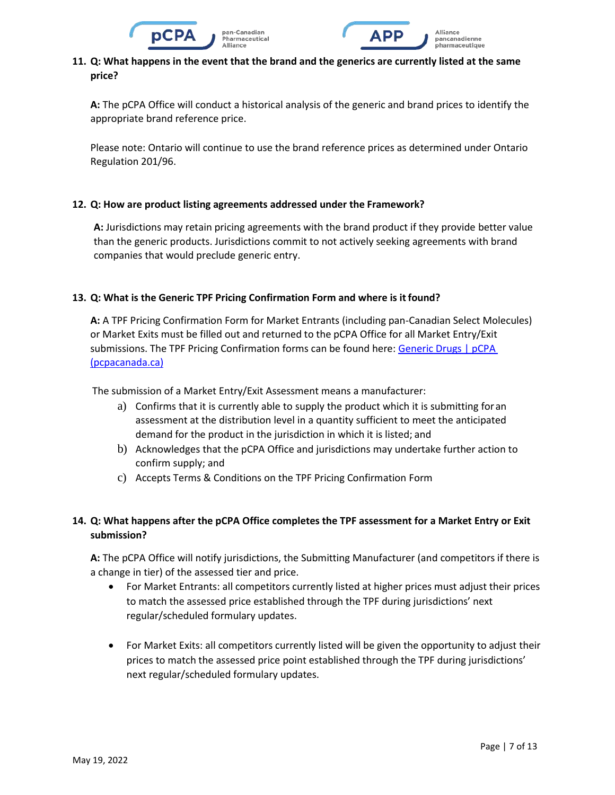



**A:** The pCPA Office will conduct a historical analysis of the generic and brand prices to identify the appropriate brand reference price.

Please note: Ontario will continue to use the brand reference prices as determined under Ontario Regulation 201/96.

### **12. Q: How are product listing agreements addressed under the Framework?**

**A:** Jurisdictions may retain pricing agreements with the brand product if they provide better value than the generic products. Jurisdictions commit to not actively seeking agreements with brand companies that would preclude generic entry.

### **13. Q: What is the Generic TPF Pricing Confirmation Form and where is it found?**

**A:** A TPF Pricing Confirmation Form for Market Entrants (including pan-Canadian Select Molecules) or Market Exits must be filled out and returned to the pCPA Office for all Market Entry/Exit submissions. The TPF Pricing Confirmation forms can be found here[: Generic Drugs | pCPA](https://www.pcpacanada.ca/generic-drug-framework)  [\(pcpacanada.ca\)](https://www.pcpacanada.ca/generic-drug-framework)

The submission of a Market Entry/Exit Assessment means a manufacturer:

- a) Confirms that it is currently able to supply the product which it is submitting foran assessment at the distribution level in a quantity sufficient to meet the anticipated demand for the product in the jurisdiction in which it is listed; and
- b) Acknowledges that the pCPA Office and jurisdictions may undertake further action to confirm supply; and
- c) Accepts Terms & Conditions on the TPF Pricing Confirmation Form

## **14. Q: What happens after the pCPA Office completes the TPF assessment for a Market Entry or Exit submission?**

**A:** The pCPA Office will notify jurisdictions, the Submitting Manufacturer (and competitors if there is a change in tier) of the assessed tier and price.

- For Market Entrants: all competitors currently listed at higher prices must adjust their prices to match the assessed price established through the TPF during jurisdictions' next regular/scheduled formulary updates.
- For Market Exits: all competitors currently listed will be given the opportunity to adjust their prices to match the assessed price point established through the TPF during jurisdictions' next regular/scheduled formulary updates.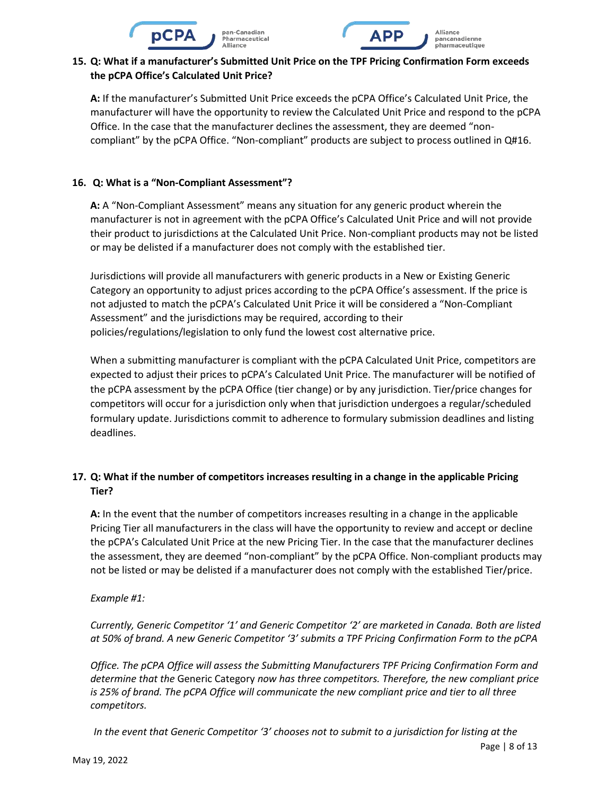



# **15. Q: What if a manufacturer's Submitted Unit Price on the TPF Pricing Confirmation Form exceeds the pCPA Office's Calculated Unit Price?**

**A:** If the manufacturer's Submitted Unit Price exceeds the pCPA Office's Calculated Unit Price, the manufacturer will have the opportunity to review the Calculated Unit Price and respond to the pCPA Office. In the case that the manufacturer declines the assessment, they are deemed "noncompliant" by the pCPA Office. "Non-compliant" products are subject to process outlined in Q#16.

## **16. Q: What is a "Non-Compliant Assessment"?**

**A:** A "Non-Compliant Assessment" means any situation for any generic product wherein the manufacturer is not in agreement with the pCPA Office's Calculated Unit Price and will not provide their product to jurisdictions at the Calculated Unit Price. Non-compliant products may not be listed or may be delisted if a manufacturer does not comply with the established tier.

Jurisdictions will provide all manufacturers with generic products in a New or Existing Generic Category an opportunity to adjust prices according to the pCPA Office's assessment. If the price is not adjusted to match the pCPA's Calculated Unit Price it will be considered a "Non-Compliant Assessment" and the jurisdictions may be required, according to their policies/regulations/legislation to only fund the lowest cost alternative price.

When a submitting manufacturer is compliant with the pCPA Calculated Unit Price, competitors are expected to adjust their prices to pCPA's Calculated Unit Price. The manufacturer will be notified of the pCPA assessment by the pCPA Office (tier change) or by any jurisdiction. Tier/price changes for competitors will occur for a jurisdiction only when that jurisdiction undergoes a regular/scheduled formulary update. Jurisdictions commit to adherence to formulary submission deadlines and listing deadlines.

# **17. Q: What if the number of competitors increases resulting in a change in the applicable Pricing Tier?**

**A:** In the event that the number of competitors increases resulting in a change in the applicable Pricing Tier all manufacturers in the class will have the opportunity to review and accept or decline the pCPA's Calculated Unit Price at the new Pricing Tier. In the case that the manufacturer declines the assessment, they are deemed "non-compliant" by the pCPA Office. Non-compliant products may not be listed or may be delisted if a manufacturer does not comply with the established Tier/price.

## *Example #1:*

*Currently, Generic Competitor '1' and Generic Competitor '2' are marketed in Canada. Both are listed at 50% of brand. A new Generic Competitor '3' submits a TPF Pricing Confirmation Form to the pCPA*

*Office. The pCPA Office will assess the Submitting Manufacturers TPF Pricing Confirmation Form and determine that the* Generic Category *now has three competitors. Therefore, the new compliant price is 25% of brand. The pCPA Office will communicate the new compliant price and tier to all three competitors.*

Page | 8 of 13 *In the event that Generic Competitor '3' chooses not to submit to a jurisdiction for listing at the*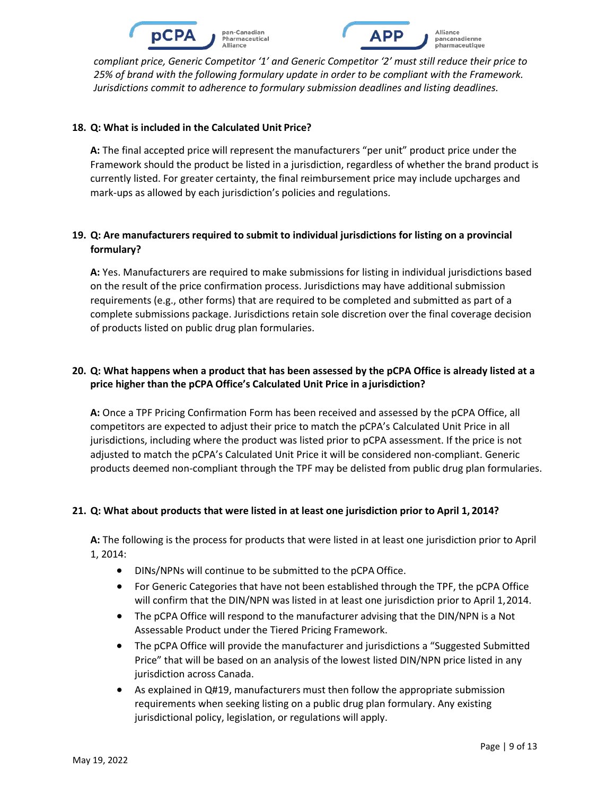



#### **18. Q: What is included in the Calculated Unit Price?**

**A:** The final accepted price will represent the manufacturers "per unit" product price under the Framework should the product be listed in a jurisdiction, regardless of whether the brand product is currently listed. For greater certainty, the final reimbursement price may include upcharges and mark-ups as allowed by each jurisdiction's policies and regulations.

## **19. Q: Are manufacturers required to submit to individual jurisdictions for listing on a provincial formulary?**

**A:** Yes. Manufacturers are required to make submissions for listing in individual jurisdictions based on the result of the price confirmation process. Jurisdictions may have additional submission requirements (e.g., other forms) that are required to be completed and submitted as part of a complete submissions package. Jurisdictions retain sole discretion over the final coverage decision of products listed on public drug plan formularies.

## **20. Q: What happens when a product that has been assessed by the pCPA Office is already listed at a price higher than the pCPA Office's Calculated Unit Price in a jurisdiction?**

**A:** Once a TPF Pricing Confirmation Form has been received and assessed by the pCPA Office, all competitors are expected to adjust their price to match the pCPA's Calculated Unit Price in all jurisdictions, including where the product was listed prior to pCPA assessment. If the price is not adjusted to match the pCPA's Calculated Unit Price it will be considered non-compliant. Generic products deemed non-compliant through the TPF may be delisted from public drug plan formularies.

## **21. Q: What about products that were listed in at least one jurisdiction prior to April 1, 2014?**

**A:** The following is the process for products that were listed in at least one jurisdiction prior to April 1, 2014:

- DINs/NPNs will continue to be submitted to the pCPA Office.
- For Generic Categories that have not been established through the TPF, the pCPA Office will confirm that the DIN/NPN was listed in at least one jurisdiction prior to April 1,2014.
- The pCPA Office will respond to the manufacturer advising that the DIN/NPN is a Not Assessable Product under the Tiered Pricing Framework.
- The pCPA Office will provide the manufacturer and jurisdictions a "Suggested Submitted Price" that will be based on an analysis of the lowest listed DIN/NPN price listed in any jurisdiction across Canada.
- As explained in Q#19, manufacturers must then follow the appropriate submission requirements when seeking listing on a public drug plan formulary. Any existing jurisdictional policy, legislation, or regulations will apply.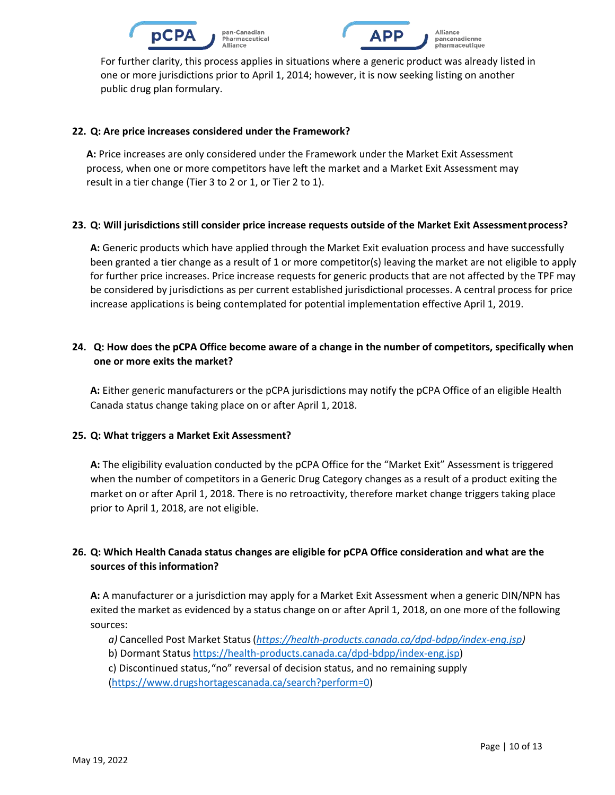



For further clarity, this process applies in situations where a generic product was already listed in one or more jurisdictions prior to April 1, 2014; however, it is now seeking listing on another public drug plan formulary.

#### **22. Q: Are price increases considered under the Framework?**

**A:** Price increases are only considered under the Framework under the Market Exit Assessment process, when one or more competitors have left the market and a Market Exit Assessment may result in a tier change (Tier 3 to 2 or 1, or Tier 2 to 1).

## **23. Q: Will jurisdictions still consider price increase requests outside of the Market Exit Assessmentprocess?**

**A:** Generic products which have applied through the Market Exit evaluation process and have successfully been granted a tier change as a result of 1 or more competitor(s) leaving the market are not eligible to apply for further price increases. Price increase requests for generic products that are not affected by the TPF may be considered by jurisdictions as per current established jurisdictional processes. A central process for price increase applications is being contemplated for potential implementation effective April 1, 2019.

# **24. Q: How does the pCPA Office become aware of a change in the number of competitors, specifically when one or more exits the market?**

**A:** Either generic manufacturers or the pCPA jurisdictions may notify the pCPA Office of an eligible Health Canada status change taking place on or after April 1, 2018.

#### **25. Q: What triggers a Market Exit Assessment?**

**A:** The eligibility evaluation conducted by the pCPA Office for the "Market Exit" Assessment is triggered when the number of competitors in a Generic Drug Category changes as a result of a product exiting the market on or after April 1, 2018. There is no retroactivity, therefore market change triggers taking place prior to April 1, 2018, are not eligible.

# **26. Q: Which Health Canada status changes are eligible for pCPA Office consideration and what are the sources of this information?**

**A:** A manufacturer or a jurisdiction may apply for a Market Exit Assessment when a generic DIN/NPN has exited the market as evidenced by a status change on or after April 1, 2018, on one more of the following sources:

- *a)* Cancelled Post Market Status(*[https://health-products.canada.ca/dpd-bdpp/index-eng.jsp\)](https://health-products.canada.ca/dpd-bdpp/index-eng.jsp)*
- b) Dormant Status [https://health-products.canada.ca/dpd-bdpp/index-eng.jsp\)](https://health-products.canada.ca/dpd-bdpp/index-eng.jsp)

c) Discontinued status,"no" reversal of decision status, and no remaining supply

[\(https://www.drugshortagescanada.ca/search?perform=0\)](https://www.drugshortagescanada.ca/search?perform=0)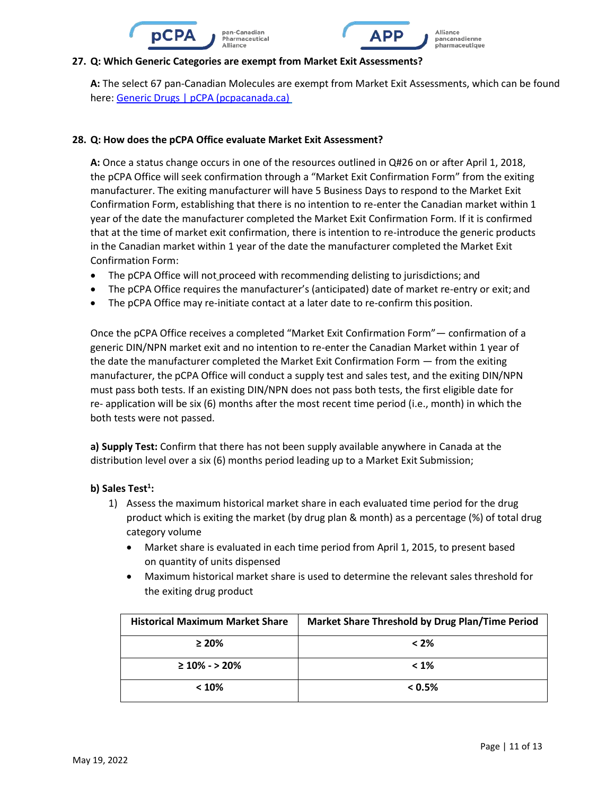



#### **27. Q: Which Generic Categories are exempt from Market Exit Assessments?**

**A:** The select 67 pan-Canadian Molecules are exempt from Market Exit Assessments, which can be foun[d](http://formulary.drugplan.ehealthsask.ca/PDFs/April%202018%20-%20pan-Canadian%20Molecules%20new.pdf) [here: Generic Drugs | pCPA \(pcpacanada.ca\)](http://formulary.drugplan.ehealthsask.ca/PDFs/April%202018%20-%20pan-Canadian%20Molecules%20new.pdf)

#### **28. Q: How does the pCPA Office evaluate Market Exit Assessment?**

**A:** Once a status change occurs in one of the resources outlined in Q#26 on or after April 1, 2018, the pCPA Office will seek confirmation through a "Market Exit Confirmation Form" from the exiting manufacturer. The exiting manufacturer will have 5 Business Days to respond to the Market Exit Confirmation Form, establishing that there is no intention to re-enter the Canadian market within 1 year of the date the manufacturer completed the Market Exit Confirmation Form. If it is confirmed that at the time of market exit confirmation, there is intention to re-introduce the generic products in the Canadian market within 1 year of the date the manufacturer completed the Market Exit Confirmation Form:

- The pCPA Office will not proceed with recommending delisting to jurisdictions; and
- The pCPA Office requires the manufacturer's (anticipated) date of market re-entry or exit; and
- The pCPA Office may re-initiate contact at a later date to re-confirm this position.

Once the pCPA Office receives a completed "Market Exit Confirmation Form"— confirmation of a generic DIN/NPN market exit and no intention to re-enter the Canadian Market within 1 year of the date the manufacturer completed the Market Exit Confirmation Form — from the exiting manufacturer, the pCPA Office will conduct a supply test and sales test, and the exiting DIN/NPN must pass both tests. If an existing DIN/NPN does not pass both tests, the first eligible date for re- application will be six (6) months after the most recent time period (i.e., month) in which the both tests were not passed.

**a) Supply Test:** Confirm that there has not been supply available anywhere in Canada at the distribution level over a six (6) months period leading up to a Market Exit Submission;

### **b) Sales Test<sup>1</sup> :**

- 1) Assess the maximum historical market share in each evaluated time period for the drug product which is exiting the market (by drug plan & month) as a percentage (%) of total drug category volume
	- Market share is evaluated in each time period from April 1, 2015, to present based on quantity of units dispensed
	- Maximum historical market share is used to determine the relevant sales threshold for the exiting drug product

| <b>Historical Maximum Market Share</b> | Market Share Threshold by Drug Plan/Time Period |
|----------------------------------------|-------------------------------------------------|
| $\geq 20\%$                            | $< 2\%$                                         |
| $\geq 10\% - \geq 20\%$                | $< 1\%$                                         |
| < 10%                                  | $< 0.5\%$                                       |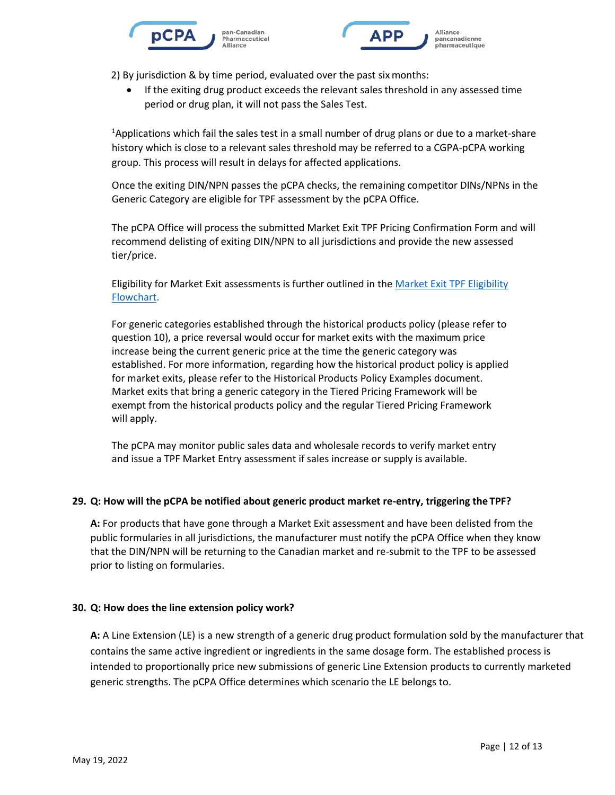



2) By jurisdiction & by time period, evaluated over the past sixmonths:

• If the exiting drug product exceeds the relevant sales threshold in any assessed time period or drug plan, it will not pass the Sales Test.

<sup>1</sup>Applications which fail the sales test in a small number of drug plans or due to a market-share history which is close to a relevant sales threshold may be referred to a CGPA-pCPA working group. This process will result in delays for affected applications.

Once the exiting DIN/NPN passes the pCPA checks, the remaining competitor DINs/NPNs in the Generic Category are eligible for TPF assessment by the pCPA Office.

The pCPA Office will process the submitted Market Exit TPF Pricing Confirmation Form and will recommend delisting of exiting DIN/NPN to all jurisdictions and provide the new assessed tier/price.

[Eligibility for Market Exit assessments is further outlined in the Market Exit TPF Eligibility](http://formulary.drugplan.ehealthsask.ca/PDFs/Market%20Exit%20TPF%20Eligibility%20Flowchart_20180329%20Final.pdf) [Flowchart.](http://formulary.drugplan.ehealthsask.ca/PDFs/Market%20Exit%20TPF%20Eligibility%20Flowchart_20180329%20Final.pdf)

For generic categories established through the historical products policy (please refer to question 10), a price reversal would occur for market exits with the maximum price increase being the current generic price at the time the generic category was established. For more information, regarding how the historical product policy is applied for market exits, please refer to the Historical Products Policy Examples document. Market exits that bring a generic category in the Tiered Pricing Framework will be exempt from the historical products policy and the regular Tiered Pricing Framework will apply.

The pCPA may monitor public sales data and wholesale records to verify market entry and issue a TPF Market Entry assessment if sales increase or supply is available.

#### **29. Q: How will the pCPA be notified about generic product market re-entry, triggering the TPF?**

**A:** For products that have gone through a Market Exit assessment and have been delisted from the public formularies in all jurisdictions, the manufacturer must notify the pCPA Office when they know that the DIN/NPN will be returning to the Canadian market and re-submit to the TPF to be assessed prior to listing on formularies.

#### **30. Q: How does the line extension policy work?**

**A:** A Line Extension (LE) is a new strength of a generic drug product formulation sold by the manufacturer that contains the same active ingredient or ingredients in the same dosage form. The established process is intended to proportionally price new submissions of generic Line Extension products to currently marketed generic strengths. The pCPA Office determines which scenario the LE belongs to.